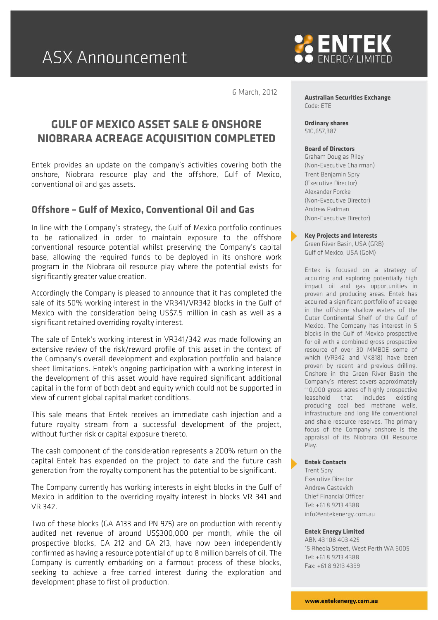

6 March, 2012

# **GULF OF MEXICO ASSET SALE & ONSHORE NIOBRARA ACREAGE ACQUISITION COMPLETED**

Entek provides an update on the company's activities covering both the onshore, Niobrara resource play and the offshore, Gulf of Mexico, conventional oil and gas assets.

### **Offshore – Gulf of Mexico, Conventional Oil and Gas**

In line with the Company's strategy, the Gulf of Mexico portfolio continues to be rationalized in order to maintain exposure to the offshore conventional resource potential whilst preserving the Company's capital base, allowing the required funds to be deployed in its onshore work program in the Niobrara oil resource play where the potential exists for significantly greater value creation.

Accordingly the Company is pleased to announce that it has completed the sale of its 50% working interest in the VR341/VR342 blocks in the Gulf of Mexico with the consideration being US\$7.5 million in cash as well as a significant retained overriding royalty interest.

The sale of Entek's working interest in VR341/342 was made following an extensive review of the risk/reward profile of this asset in the context of the Company's overall development and exploration portfolio and balance sheet limitations. Entek's ongoing participation with a working interest in the development of this asset would have required significant additional capital in the form of both debt and equity which could not be supported in view of current global capital market conditions.

This sale means that Entek receives an immediate cash injection and a future royalty stream from a successful development of the project, without further risk or capital exposure thereto.

The cash component of the consideration represents a 200% return on the capital Entek has expended on the project to date and the future cash generation from the royalty component has the potential to be significant.

The Company currently has working interests in eight blocks in the Gulf of Mexico in addition to the overriding royalty interest in blocks VR 341 and VR 342.

Two of these blocks (GA A133 and PN 975) are on production with recently audited net revenue of around US\$300,000 per month, while the oil prospective blocks, GA 212 and GA 213, have now been independently confirmed as having a resource potential of up to 8 million barrels of oil. The Company is currently embarking on a farmout process of these blocks, seeking to achieve a free carried interest during the exploration and development phase to first oil production.

**Australian Securities Exchange** Code: ETE

**Ordinary shares** 510,657,387

#### **Board of Directors**

Graham Douglas Riley (Non-Executive Chairman) Trent Benjamin Spry (Executive Director) Alexander Forcke (Non-Executive Director) Andrew Padman (Non-Executive Director)

**Key Projects and Interests**

Green River Basin, USA (GRB) Gulf of Mexico, USA (GoM)

Entek is focused on a strategy of acquiring and exploring potentially high impact oil and gas opportunities in proven and producing areas. Entek has acquired a significant portfolio of acreage in the offshore shallow waters of the Outer Continental Shelf of the Gulf of Mexico. The Company has interest in 5 blocks in the Gulf of Mexico prospective for oil with a combined gross prospective resource of over 30 MMBOE some of which (VR342 and VK818) have been proven by recent and previous drilling. Onshore in the Green River Basin the Company's interest covers approximately 110,000 gross acres of highly prospective leasehold that includes existing producing coal bed methane wells, infrastructure and long life conventional and shale resource reserves. The primary focus of the Company onshore is the appraisal of its Niobrara Oil Resource Play.

#### **Entek Contacts**

Trent Spry Executive Director Andrew Gastevich Chief Financial Officer Tel: +61 8 9213 4388 info@entekenergy.com.au

#### **Entek Energy Limited**

ABN 43 108 403 425 15 Rheola Street, West Perth WA 6005 Tel: +61 8 9213 4388 Fax: +61 8 9213 4399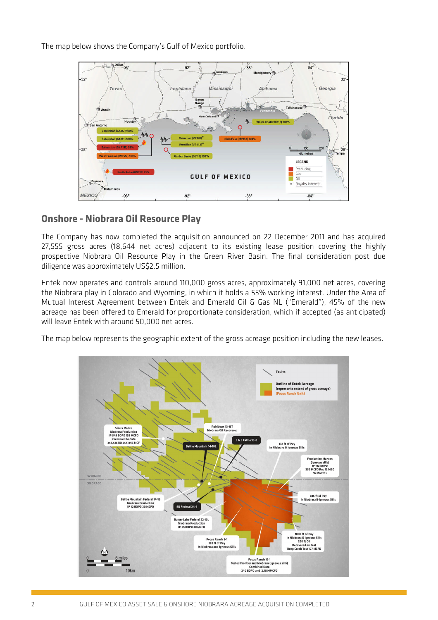The map below shows the Company's Gulf of Mexico portfolio.



## **Onshore - Niobrara Oil Resource Play**

The Company has now completed the acquisition announced on 22 December 2011 and has acquired 27,555 gross acres (18,644 net acres) adjacent to its existing lease position covering the highly prospective Niobrara Oil Resource Play in the Green River Basin. The final consideration post due diligence was approximately US\$2.5 million.

Entek now operates and controls around 110,000 gross acres, approximately 91,000 net acres, covering the Niobrara play in Colorado and Wyoming, in which it holds a 55% working interest. Under the Area of Mutual Interest Agreement between Entek and Emerald Oil & Gas NL ("Emerald"), 45% of the new acreage has been offered to Emerald for proportionate consideration, which if accepted (as anticipated) will leave Entek with around 50,000 net acres.

The map below represents the geographic extent of the gross acreage position including the new leases.